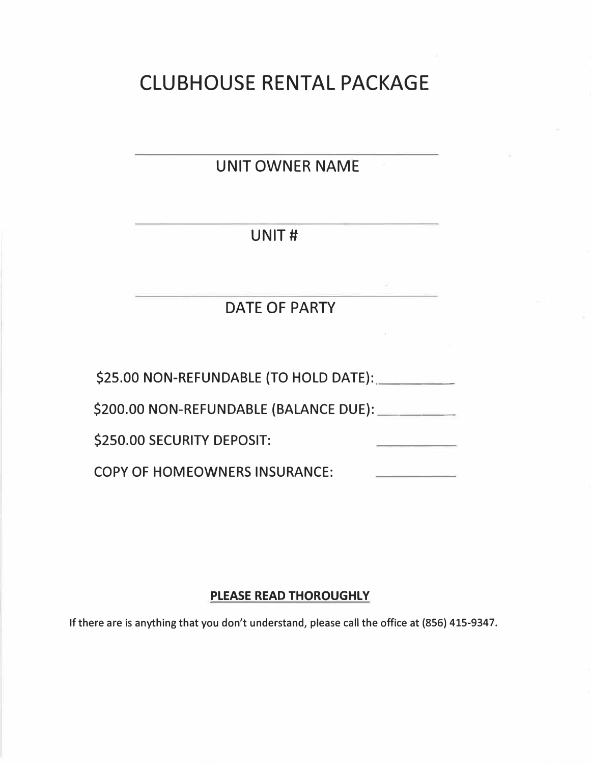# CLUBHOUSE RENTAL PACKAGE

# UNIT OWNER NAME

# UNIT#

# DATE OF PARTY

\$25.00 NON-REFUNDABLE (TO HOLD DATE):

\$200.00 NON-REFUNDABLE (BALANCE DUE): \_\_\_ \_

\$250.00 SECURITY DEPOSIT:

COPY OF HOMEOWNERS INSURANCE:

## **PLEASE READ THOROUGHLY**

**If there are is anything that you don't understand, please call the office at (856) 415-9347.**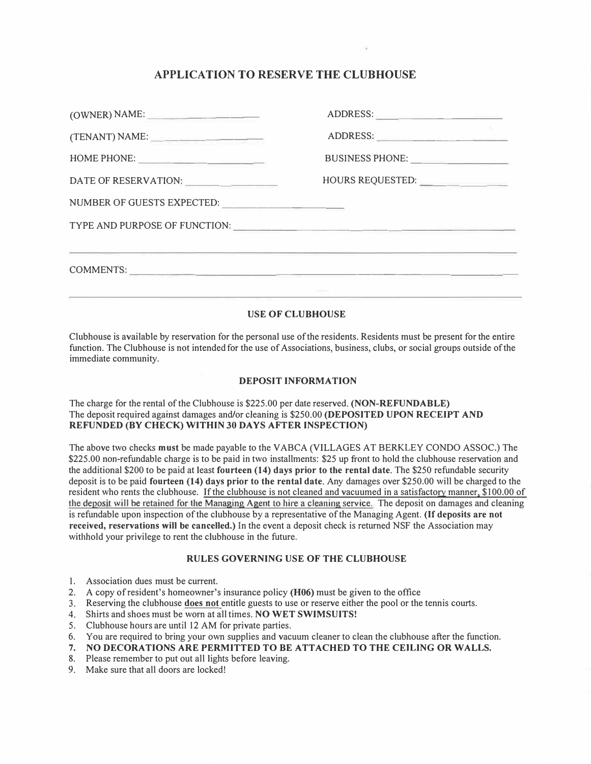### **APPLICATION TO RESERVE THE CLUBHOUSE**

| (OWNER) NAME:              | ADDRESS:                 |
|----------------------------|--------------------------|
|                            |                          |
| HOME PHONE:                |                          |
|                            | HOURS REQUESTED:         |
| NUMBER OF GUESTS EXPECTED: |                          |
|                            |                          |
|                            | COMMENTS:<br>Chevrolet C |

### **USE OF CLUBHOUSE**

Clubhouse is available by reservation for the personal use ofthe residents. Residents must be present for the entire function. The Clubhouse is not intended for the use of Associations, business, clubs, or social groups outside of the immediate community.

#### **DEPOSIT INFORMATION**

The charge for the rental of the Clubhouse is \$225.00 per date reserved. **(NON-REFUNDABLE)**  The deposit required against damages and/or cleaning is \$250.00 **(DEPOSITED UPON RECEIPT AND REFUNDED (BY CHECK) WITHIN 30 DAYS AFTER INSPECTION)**

The above two checks **must** be made payable to the V ABCA (VILLAGES AT BERKLEY CONDO ASSOC.) The \$225.00 non-refundable charge is to be paid in two installments: \$25 up front to hold the clubhouse reservation and the additional \$200 to be paid at least **fourteen (14) days prior to the rental date.** The \$250 refundable security deposit is to be paid **fourteen (14) days prior to the rental date.** Any damages over \$250.00 will be charged to the resident who rents the clubhouse. If the clubhouse is not cleaned and vacuumed in a satisfactory manner, \$100.00 of the deposit will be retained for the Managing Agent to hire a cleaning service. The deposit on damages and cleaning is refundable upon inspection ofthe clubhouse by a representative of the Managing Agent. **(If deposits are not received, reservations will be cancelled.)** In the event a deposit check is returned NSF the Association may withhold your privilege to rent the clubhouse in the future.

#### **RULES GOVERNING USE OF THE CLUBHOUSE**

- 1. Association dues must be current.
- 2. A copy of resident's homeowner's insurance policy **(H06)** must be given to the office
- 3. Reserving the clubhouse **does not** entitle guests to use or reserve either the pool or the tennis courts.
- 4. Shirts and shoes must be worn at all times. **NO WET SWIMSUITS!**
- 5. Clubhouse hours are until 12 AM for private parties.
- 6. You are required to bring your own supplies and vacuum cleaner to clean the clubhouse after the function.
- **7. NO DECORATIONS ARE PERMITTED TO BE ATTACHED TO THE CEILING OR WALLS.**
- 8. Please remember to put out all lights before leaving.
- 9. Make sure that all doors are locked!